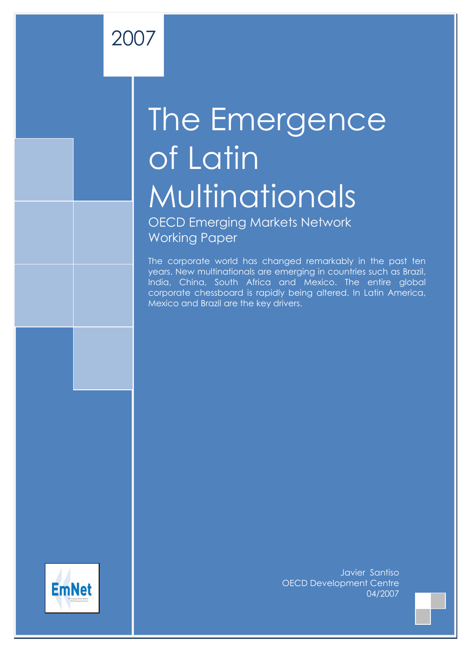# The Emergence of Latin **Multinationals**

OECD Emerging Markets Network Working Paper

2007

The corporate world has changed remarkably in the past ten years. New multinationals are emerging in countries such as Brazil, India, China, South Africa and Mexico. The entire global corporate chessboard is rapidly being altered. In Latin America, Mexico and Brazil are the key drivers.



Javier Santiso OECD Development Centre 04/2007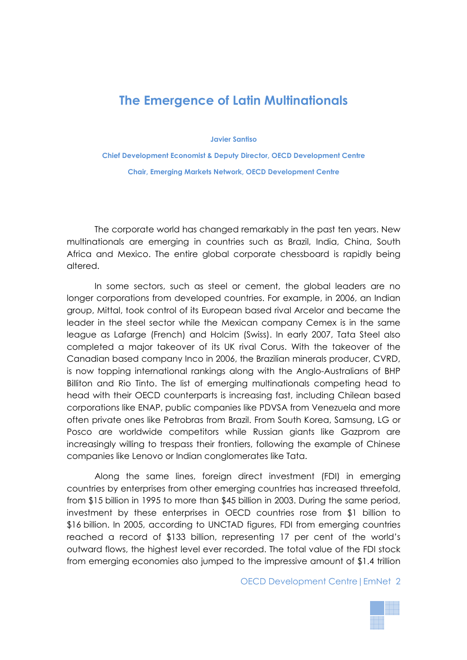# **The Emergence of Latin Multinationals**

**Javier Santiso** 

**Chief Development Economist & Deputy Director, OECD Development Centre Chair, Emerging Markets Network, OECD Development Centre** 

The corporate world has changed remarkably in the past ten years. New multinationals are emerging in countries such as Brazil, India, China, South Africa and Mexico. The entire global corporate chessboard is rapidly being altered.

In some sectors, such as steel or cement, the global leaders are no longer corporations from developed countries. For example, in 2006, an Indian group, Mittal, took control of its European based rival Arcelor and became the leader in the steel sector while the Mexican company Cemex is in the same league as Lafarge (French) and Holcim (Swiss). In early 2007, Tata Steel also completed a major takeover of its UK rival Corus. With the takeover of the Canadian based company Inco in 2006, the Brazilian minerals producer, CVRD, is now topping international rankings along with the Anglo-Australians of BHP Billiton and Rio Tinto. The list of emerging multinationals competing head to head with their OECD counterparts is increasing fast, including Chilean based corporations like ENAP, public companies like PDVSA from Venezuela and more often private ones like Petrobras from Brazil. From South Korea, Samsung, LG or Posco are worldwide competitors while Russian giants like Gazprom are increasingly willing to trespass their frontiers, following the example of Chinese companies like Lenovo or Indian conglomerates like Tata.

Along the same lines, foreign direct investment (FDI) in emerging countries by enterprises from other emerging countries has increased threefold, from \$15 billion in 1995 to more than \$45 billion in 2003. During the same period, investment by these enterprises in OECD countries rose from \$1 billion to \$16 billion. In 2005, according to UNCTAD figures, FDI from emerging countries reached a record of \$133 billion, representing 17 per cent of the world's outward flows, the highest level ever recorded. The total value of the FDI stock from emerging economies also jumped to the impressive amount of \$1.4 trillion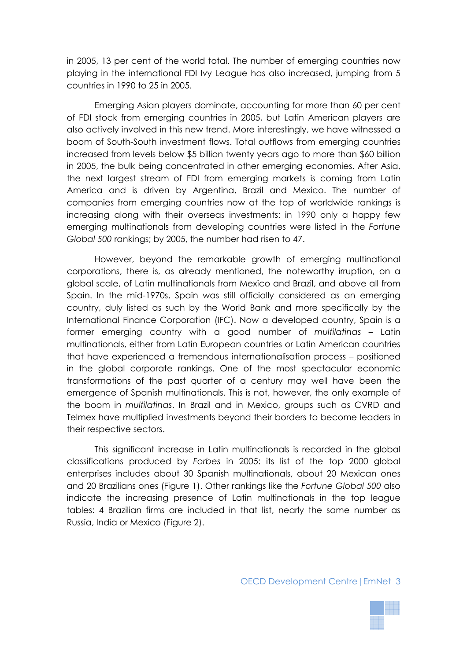in 2005, 13 per cent of the world total. The number of emerging countries now playing in the international FDI Ivy League has also increased, jumping from 5 countries in 1990 to 25 in 2005.

Emerging Asian players dominate, accounting for more than 60 per cent of FDI stock from emerging countries in 2005, but Latin American players are also actively involved in this new trend. More interestingly, we have witnessed a boom of South-South investment flows. Total outflows from emerging countries increased from levels below \$5 billion twenty years ago to more than \$60 billion in 2005, the bulk being concentrated in other emerging economies. After Asia, the next largest stream of FDI from emerging markets is coming from Latin America and is driven by Argentina, Brazil and Mexico. The number of companies from emerging countries now at the top of worldwide rankings is increasing along with their overseas investments: in 1990 only a happy few emerging multinationals from developing countries were listed in the *Fortune Global 500* rankings; by 2005, the number had risen to 47.

However, beyond the remarkable growth of emerging multinational corporations, there is, as already mentioned, the noteworthy irruption, on a global scale, of Latin multinationals from Mexico and Brazil, and above all from Spain. In the mid-1970s, Spain was still officially considered as an emerging country, duly listed as such by the World Bank and more specifically by the International Finance Corporation (IFC). Now a developed country, Spain is a former emerging country with a good number of *multilatinas* – Latin multinationals, either from Latin European countries or Latin American countries that have experienced a tremendous internationalisation process – positioned in the global corporate rankings. One of the most spectacular economic transformations of the past quarter of a century may well have been the emergence of Spanish multinationals. This is not, however, the only example of the boom in *multilatinas*. In Brazil and in Mexico, groups such as CVRD and Telmex have multiplied investments beyond their borders to become leaders in their respective sectors.

This significant increase in Latin multinationals is recorded in the global classifications produced by *Forbes* in 2005: its list of the top 2000 global enterprises includes about 30 Spanish multinationals, about 20 Mexican ones and 20 Brazilians ones (Figure 1). Other rankings like the *Fortune Global 500* also indicate the increasing presence of Latin multinationals in the top league tables: 4 Brazilian firms are included in that list, nearly the same number as Russia, India or Mexico (Figure 2).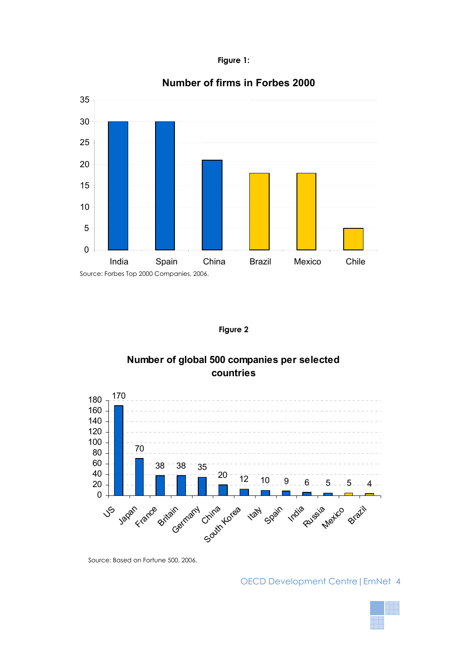



# **Number of firms in Forbes 2000**

**Figure 2** 

# **Number of global 500 companies per selected countries**



Source: Based on Fortune 500, 2006.

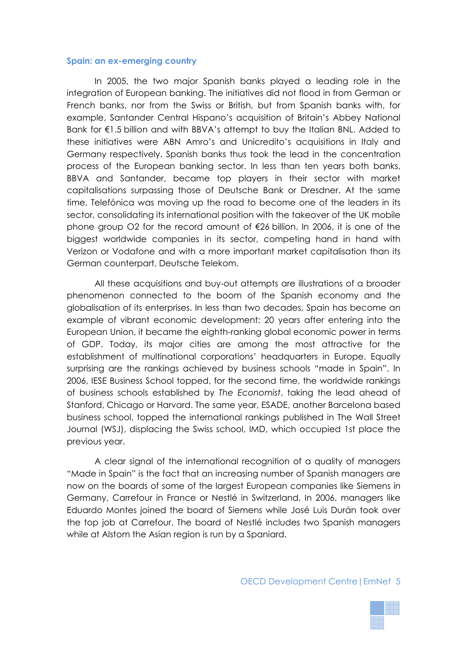#### **Spain: an ex-emerging country**

In 2005, the two major Spanish banks played a leading role in the integration of European banking. The initiatives did not flood in from German or French banks, nor from the Swiss or British, but from Spanish banks with, for example, Santander Central Hispano's acquisition of Britain's Abbey National Bank for €1.5 billion and with BBVA's attempt to buy the Italian BNL. Added to these initiatives were ABN Amro's and Unicredito's acquisitions in Italy and Germany respectively. Spanish banks thus took the lead in the concentration process of the European banking sector. In less than ten years both banks, BBVA and Santander, became top players in their sector with market capitalisations surpassing those of Deutsche Bank or Dresdner. At the same time, Telefónica was moving up the road to become one of the leaders in its sector, consolidating its international position with the takeover of the UK mobile phone group O2 for the record amount of €26 billion. In 2006, it is one of the biggest worldwide companies in its sector, competing hand in hand with Verizon or Vodafone and with a more important market capitalisation than its German counterpart, Deutsche Telekom.

All these acquisitions and buy-out attempts are illustrations of a broader phenomenon connected to the boom of the Spanish economy and the globalisation of its enterprises. In less than two decades, Spain has become an example of vibrant economic development: 20 years after entering into the European Union, it became the eighth-ranking global economic power in terms of GDP. Today, its major cities are among the most attractive for the establishment of multinational corporations' headquarters in Europe. Equally surprising are the rankings achieved by business schools "made in Spain". In 2006, IESE Business School topped, for the second time, the worldwide rankings of business schools established by *The Economist*, taking the lead ahead of Stanford, Chicago or Harvard. The same year, ESADE, another Barcelona based business school, topped the international rankings published in The Wall Street Journal (WSJ), displacing the Swiss school, IMD, which occupied 1st place the previous year.

A clear signal of the international recognition of a quality of managers "Made in Spain" is the fact that an increasing number of Spanish managers are now on the boards of some of the largest European companies like Siemens in Germany, Carrefour in France or Nestlé in Switzerland. In 2006, managers like Eduardo Montes joined the board of Siemens while José Luis Durán took over the top job at Carrefour. The board of Nestlé includes two Spanish managers while at Alstom the Asian region is run by a Spaniard.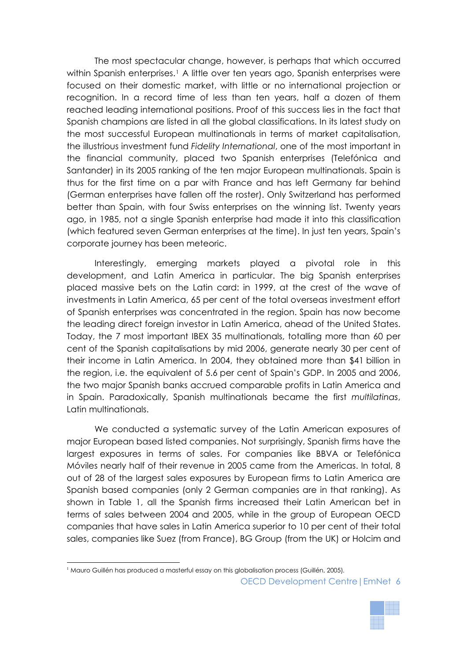The most spectacular change, however, is perhaps that which occurred within Spanish enterprises.<sup>[1](#page-5-0)</sup> A little over ten years ago, Spanish enterprises were focused on their domestic market, with little or no international projection or recognition. In a record time of less than ten years, half a dozen of them reached leading international positions. Proof of this success lies in the fact that Spanish champions are listed in all the global classifications. In its latest study on the most successful European multinationals in terms of market capitalisation, the illustrious investment fund *Fidelity International*, one of the most important in the financial community, placed two Spanish enterprises (Telefónica and Santander) in its 2005 ranking of the ten major European multinationals. Spain is thus for the first time on a par with France and has left Germany far behind (German enterprises have fallen off the roster). Only Switzerland has performed better than Spain, with four Swiss enterprises on the winning list. Twenty years ago, in 1985, not a single Spanish enterprise had made it into this classification (which featured seven German enterprises at the time). In just ten years, Spain's corporate journey has been meteoric.

Interestingly, emerging markets played a pivotal role in this development, and Latin America in particular. The big Spanish enterprises placed massive bets on the Latin card: in 1999, at the crest of the wave of investments in Latin America, 65 per cent of the total overseas investment effort of Spanish enterprises was concentrated in the region. Spain has now become the leading direct foreign investor in Latin America, ahead of the United States. Today, the 7 most important IBEX 35 multinationals, totalling more than 60 per cent of the Spanish capitalisations by mid 2006, generate nearly 30 per cent of their income in Latin America. In 2004, they obtained more than \$41 billion in the region, i.e. the equivalent of 5.6 per cent of Spain's GDP. In 2005 and 2006, the two major Spanish banks accrued comparable profits in Latin America and in Spain. Paradoxically, Spanish multinationals became the first *multilatinas*, Latin multinationals.

We conducted a systematic survey of the Latin American exposures of major European based listed companies. Not surprisingly, Spanish firms have the largest exposures in terms of sales. For companies like BBVA or Telefónica Móviles nearly half of their revenue in 2005 came from the Americas. In total, 8 out of 28 of the largest sales exposures by European firms to Latin America are Spanish based companies (only 2 German companies are in that ranking). As shown in Table 1, all the Spanish firms increased their Latin American bet in terms of sales between 2004 and 2005, while in the group of European OECD companies that have sales in Latin America superior to 10 per cent of their total sales, companies like Suez (from France), BG Group (from the UK) or Holcim and

<span id="page-5-0"></span><sup>1</sup> Mauro Guillén has produced a masterful essay on this globalisation process (Guillén, 2005)*.* 

OECD Development Centre|EmNet 6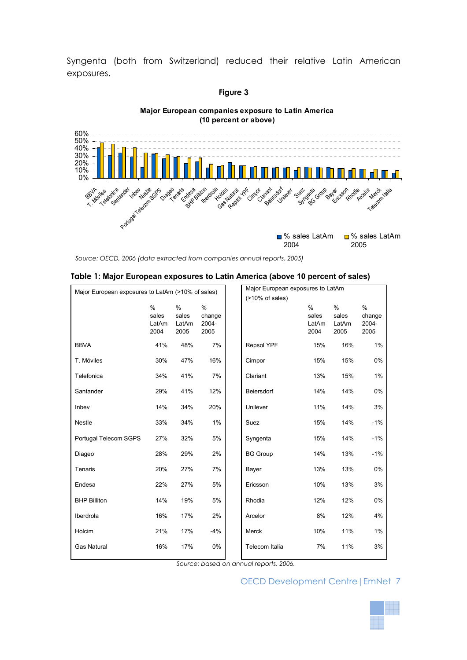Syngenta (both from Switzerland) reduced their relative Latin American exposures.



*Source: OECD, 2006 (data extracted from companies annual reports, 2005)*

|  |  |  | Table 1: Major European exposures to Latin America (above 10 percent of sales) |  |  |  |  |  |
|--|--|--|--------------------------------------------------------------------------------|--|--|--|--|--|
|--|--|--|--------------------------------------------------------------------------------|--|--|--|--|--|

| Major European exposures to LatAm (>10% of sales) |                                |                             | Major European exposures to LatAm |                   |                                |                                |                                 |
|---------------------------------------------------|--------------------------------|-----------------------------|-----------------------------------|-------------------|--------------------------------|--------------------------------|---------------------------------|
|                                                   |                                |                             |                                   | (>10% of sales)   |                                |                                |                                 |
|                                                   | $\%$<br>sales<br>LatAm<br>2004 | %<br>sales<br>LatAm<br>2005 | %<br>change<br>2004-<br>2005      |                   | $\%$<br>sales<br>LatAm<br>2004 | $\%$<br>sales<br>LatAm<br>2005 | $\%$<br>change<br>2004-<br>2005 |
| <b>BBVA</b>                                       | 41%                            | 48%                         | 7%                                | <b>Repsol YPF</b> | 15%                            | 16%                            | 1%                              |
| T. Móviles                                        | 30%                            | 47%                         | 16%                               | Cimpor            | 15%                            | 15%                            | 0%                              |
| Telefonica                                        | 34%                            | 41%                         | 7%                                | Clariant          | 13%                            | 15%                            | 1%                              |
| Santander                                         | 29%                            | 41%                         | 12%                               | Beiersdorf        | 14%                            | 14%                            | 0%                              |
| Inbev                                             | 14%                            | 34%                         | 20%                               | Unilever          | 11%                            | 14%                            | 3%                              |
| Nestle                                            | 33%                            | 34%                         | 1%                                | Suez              | 15%                            | 14%                            | $-1%$                           |
| Portugal Telecom SGPS                             | 27%                            | 32%                         | 5%                                | Syngenta          | 15%                            | 14%                            | $-1%$                           |
| Diageo                                            | 28%                            | 29%                         | 2%                                | <b>BG Group</b>   | 14%                            | 13%                            | $-1%$                           |
| Tenaris                                           | 20%                            | 27%                         | 7%                                | Bayer             | 13%                            | 13%                            | 0%                              |
| Endesa                                            | 22%                            | 27%                         | 5%                                | Ericsson          | 10%                            | 13%                            | 3%                              |
| <b>BHP Billiton</b>                               | 14%                            | 19%                         | 5%                                | Rhodia            | 12%                            | 12%                            | 0%                              |
| Iberdrola                                         | 16%                            | 17%                         | 2%                                | Arcelor           | 8%                             | 12%                            | 4%                              |
| Holcim                                            | 21%                            | 17%                         | $-4%$                             | Merck             | 10%                            | 11%                            | 1%                              |
| <b>Gas Natural</b>                                | 16%                            | 17%                         | 0%                                | Telecom Italia    | 7%                             | 11%                            | 3%                              |

*Source: based on annual reports, 2006.*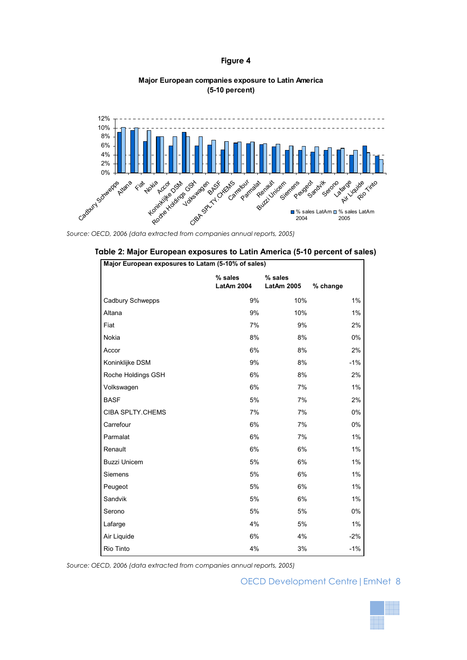#### **Figure 4**

#### **Major European companies exposure to Latin America (5-10 percent)**



Source: OECD, 2006 (data extracted from companies annual reports, 2005)

| Major European exposures to Latam (5-10% of sales) |                              |                              |          |  |  |  |  |
|----------------------------------------------------|------------------------------|------------------------------|----------|--|--|--|--|
|                                                    | % sales<br><b>LatAm 2004</b> | % sales<br><b>LatAm 2005</b> | % change |  |  |  |  |
| Cadbury Schwepps                                   | 9%                           | 10%                          | $1\%$    |  |  |  |  |
| Altana                                             | 9%                           | 10%                          | $1\%$    |  |  |  |  |
| Fiat                                               | 7%                           | 9%                           | 2%       |  |  |  |  |
| Nokia                                              | 8%                           | 8%                           | $0\%$    |  |  |  |  |
| Accor                                              | 6%                           | 8%                           | 2%       |  |  |  |  |
| Koninklijke DSM                                    | 9%                           | 8%                           | $-1%$    |  |  |  |  |
| Roche Holdings GSH                                 | 6%                           | 8%                           | 2%       |  |  |  |  |
| Volkswagen                                         | 6%                           | 7%                           | $1\%$    |  |  |  |  |
| <b>BASF</b>                                        | 5%                           | 7%                           | 2%       |  |  |  |  |
| CIBA SPLTY.CHEMS                                   | 7%                           | 7%                           | $0\%$    |  |  |  |  |
| Carrefour                                          | 6%                           | 7%                           | 0%       |  |  |  |  |
| Parmalat                                           | 6%                           | 7%                           | $1\%$    |  |  |  |  |
| Renault                                            | 6%                           | 6%                           | $1\%$    |  |  |  |  |
| <b>Buzzi Unicem</b>                                | 5%                           | 6%                           | $1\%$    |  |  |  |  |
| Siemens                                            | 5%                           | 6%                           | $1\%$    |  |  |  |  |
| Peugeot                                            | 5%                           | 6%                           | 1%       |  |  |  |  |
| Sandvik                                            | 5%                           | 6%                           | 1%       |  |  |  |  |
| Serono                                             | 5%                           | 5%                           | $0\%$    |  |  |  |  |
| Lafarge                                            | 4%                           | 5%                           | $1\%$    |  |  |  |  |
| Air Liquide                                        | 6%                           | 4%                           | $-2\%$   |  |  |  |  |
| Rio Tinto                                          | 4%                           | 3%                           | $-1%$    |  |  |  |  |

|  | Table 2: Major European exposures to Latin America (5-10 percent of sales) |  |
|--|----------------------------------------------------------------------------|--|
|  |                                                                            |  |

*Source: OECD, 2006 (data extracted from companies annual reports, 2005)* 

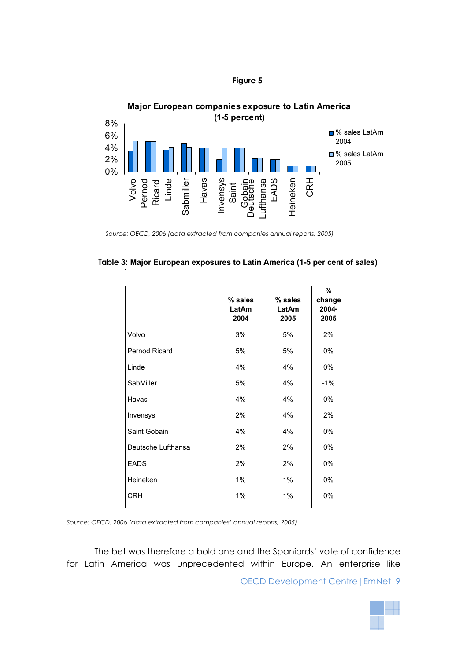



**Major European companies exposure to Latin America**

|                    | $%$ sales<br>LatAm<br>2004 | % sales<br>LatAm<br>2005 | %<br>change<br>2004-<br>2005 |
|--------------------|----------------------------|--------------------------|------------------------------|
| Volvo              | 3%                         | 5%                       | 2%                           |
| Pernod Ricard      | 5%                         | 5%                       | 0%                           |
| Linde              | 4%                         | 4%                       | 0%                           |
| SabMiller          | 5%                         | 4%                       | $-1%$                        |
| Havas              | 4%                         | 4%                       | 0%                           |
| Invensys           | 2%                         | 4%                       | 2%                           |
| Saint Gobain       | 4%                         | 4%                       | 0%                           |
| Deutsche Lufthansa | 2%                         | 2%                       | 0%                           |
| <b>EADS</b>        | 2%                         | 2%                       | 0%                           |
| Heineken           | 1%                         | 1%                       | 0%                           |
| <b>CRH</b>         | 1%                         | 1%                       | 0%                           |

| Table 3: Major European exposures to Latin America (1-5 per cent of sales) |  |  |
|----------------------------------------------------------------------------|--|--|
|----------------------------------------------------------------------------|--|--|

Source: OECD, 2006 (data extracted from companies' annual reports, 2005)

The bet was therefore a bold one and the Spaniards' vote of confidence for Latin America was unprecedented within Europe. An enterprise like



*Source: OECD, 2006 (data extracted from companies annual reports, 2005)*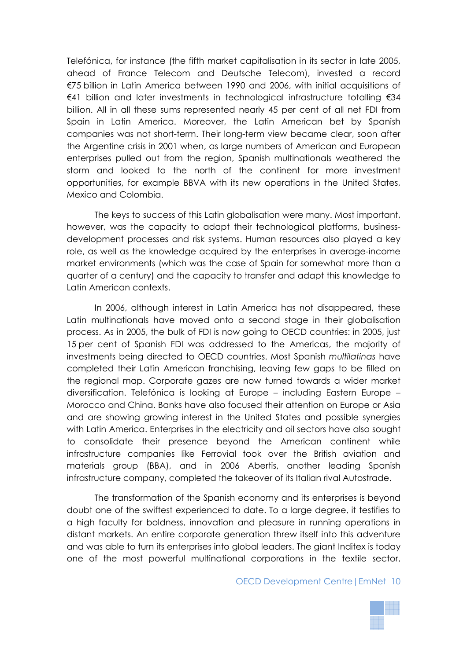Telefónica, for instance (the fifth market capitalisation in its sector in late 2005, ahead of France Telecom and Deutsche Telecom), invested a record €75 billion in Latin America between 1990 and 2006, with initial acquisitions of €41 billion and later investments in technological infrastructure totalling €34 billion. All in all these sums represented nearly 45 per cent of all net FDI from Spain in Latin America. Moreover, the Latin American bet by Spanish companies was not short-term. Their long-term view became clear, soon after the Argentine crisis in 2001 when, as large numbers of American and European enterprises pulled out from the region, Spanish multinationals weathered the storm and looked to the north of the continent for more investment opportunities, for example BBVA with its new operations in the United States, Mexico and Colombia.

The keys to success of this Latin globalisation were many. Most important, however, was the capacity to adapt their technological platforms, businessdevelopment processes and risk systems. Human resources also played a key role, as well as the knowledge acquired by the enterprises in average-income market environments (which was the case of Spain for somewhat more than a quarter of a century) and the capacity to transfer and adapt this knowledge to Latin American contexts.

In 2006, although interest in Latin America has not disappeared, these Latin multinationals have moved onto a second stage in their globalisation process. As in 2005, the bulk of FDI is now going to OECD countries: in 2005, just 15 per cent of Spanish FDI was addressed to the Americas, the majority of investments being directed to OECD countries. Most Spanish *multilatinas* have completed their Latin American franchising, leaving few gaps to be filled on the regional map. Corporate gazes are now turned towards a wider market diversification. Telefónica is looking at Europe – including Eastern Europe – Morocco and China. Banks have also focused their attention on Europe or Asia and are showing growing interest in the United States and possible synergies with Latin America. Enterprises in the electricity and oil sectors have also sought to consolidate their presence beyond the American continent while infrastructure companies like Ferrovial took over the British aviation and materials group (BBA), and in 2006 Abertis, another leading Spanish infrastructure company, completed the takeover of its Italian rival Autostrade.

The transformation of the Spanish economy and its enterprises is beyond doubt one of the swiftest experienced to date. To a large degree, it testifies to a high faculty for boldness, innovation and pleasure in running operations in distant markets. An entire corporate generation threw itself into this adventure and was able to turn its enterprises into global leaders. The giant Inditex is today one of the most powerful multinational corporations in the textile sector,

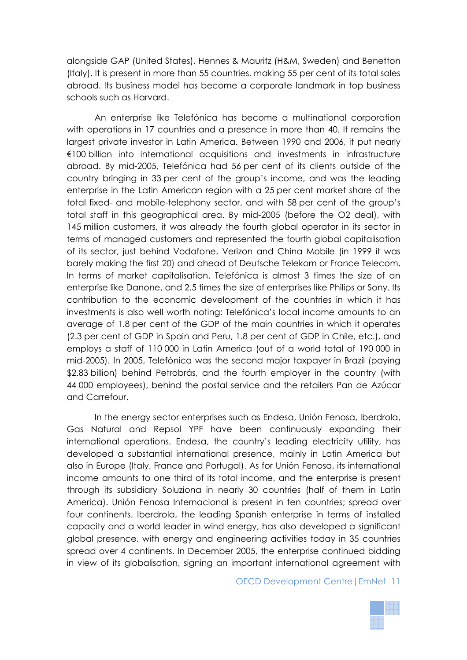alongside GAP (United States), Hennes & Mauritz (H&M, Sweden) and Benetton (Italy). It is present in more than 55 countries, making 55 per cent of its total sales abroad. Its business model has become a corporate landmark in top business schools such as Harvard.

An enterprise like Telefónica has become a multinational corporation with operations in 17 countries and a presence in more than 40. It remains the largest private investor in Latin America. Between 1990 and 2006, it put nearly €100 billion into international acquisitions and investments in infrastructure abroad. By mid-2005, Telefónica had 56 per cent of its clients outside of the country bringing in 33 per cent of the group's income, and was the leading enterprise in the Latin American region with a 25 per cent market share of the total fixed- and mobile-telephony sector, and with 58 per cent of the group's total staff in this geographical area. By mid-2005 (before the O2 deal), with 145 million customers, it was already the fourth global operator in its sector in terms of managed customers and represented the fourth global capitalisation of its sector, just behind Vodafone, Verizon and China Mobile (in 1999 it was barely making the first 20) and ahead of Deutsche Telekom or France Telecom. In terms of market capitalisation, Telefónica is almost 3 times the size of an enterprise like Danone, and 2.5 times the size of enterprises like Philips or Sony. Its contribution to the economic development of the countries in which it has investments is also well worth noting: Telefónica's local income amounts to an average of 1.8 per cent of the GDP of the main countries in which it operates (2.3 per cent of GDP in Spain and Peru, 1.8 per cent of GDP in Chile, etc.), and employs a staff of 110 000 in Latin America (out of a world total of 190 000 in mid-2005). In 2005, Telefónica was the second major taxpayer in Brazil (paying \$2.83 billion) behind Petrobrás, and the fourth employer in the country (with 44 000 employees), behind the postal service and the retailers Pan de Azúcar and Carrefour.

In the energy sector enterprises such as Endesa, Unión Fenosa, Iberdrola, Gas Natural and Repsol YPF have been continuously expanding their international operations. Endesa, the country's leading electricity utility, has developed a substantial international presence, mainly in Latin America but also in Europe (Italy, France and Portugal). As for Unión Fenosa, its international income amounts to one third of its total income, and the enterprise is present through its subsidiary Soluziona in nearly 30 countries (half of them in Latin America). Unión Fenosa Internacional is present in ten countries; spread over four continents. Iberdrola, the leading Spanish enterprise in terms of installed capacity and a world leader in wind energy, has also developed a significant global presence, with energy and engineering activities today in 35 countries spread over 4 continents. In December 2005, the enterprise continued bidding in view of its globalisation, signing an important international agreement with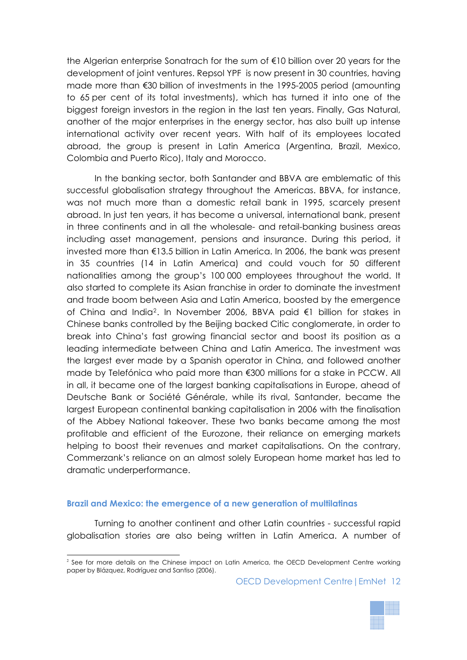the Algerian enterprise Sonatrach for the sum of €10 billion over 20 years for the development of joint ventures. Repsol YPF is now present in 30 countries, having made more than €30 billion of investments in the 1995-2005 period (amounting to 65 per cent of its total investments), which has turned it into one of the biggest foreign investors in the region in the last ten years. Finally, Gas Natural, another of the major enterprises in the energy sector, has also built up intense international activity over recent years. With half of its employees located abroad, the group is present in Latin America (Argentina, Brazil, Mexico, Colombia and Puerto Rico), Italy and Morocco.

In the banking sector, both Santander and BBVA are emblematic of this successful globalisation strategy throughout the Americas. BBVA, for instance, was not much more than a domestic retail bank in 1995, scarcely present abroad. In just ten years, it has become a universal, international bank, present in three continents and in all the wholesale- and retail-banking business areas including asset management, pensions and insurance. During this period, it invested more than €13.5 billion in Latin America. In 2006, the bank was present in 35 countries (14 in Latin America) and could vouch for 50 different nationalities among the group's 100 000 employees throughout the world. It also started to complete its Asian franchise in order to dominate the investment and trade boom between Asia and Latin America, boosted by the emergence of China and India[2](#page-11-0). In November 2006, BBVA paid €1 billion for stakes in Chinese banks controlled by the Beijing backed Citic conglomerate, in order to break into China's fast growing financial sector and boost its position as a leading intermediate between China and Latin America. The investment was the largest ever made by a Spanish operator in China, and followed another made by Telefónica who paid more than €300 millions for a stake in PCCW. All in all, it became one of the largest banking capitalisations in Europe, ahead of Deutsche Bank or Société Générale, while its rival, Santander, became the largest European continental banking capitalisation in 2006 with the finalisation of the Abbey National takeover. These two banks became among the most profitable and efficient of the Eurozone, their reliance on emerging markets helping to boost their revenues and market capitalisations. On the contrary, Commerzank's reliance on an almost solely European home market has led to dramatic underperformance.

### **Brazil and Mexico: the emergence of a new generation of multilatinas**

Turning to another continent and other Latin countries - successful rapid globalisation stories are also being written in Latin America. A number of



<span id="page-11-0"></span> $\overline{a}$ <sup>2</sup> See for more details on the Chinese impact on Latin America, the OECD Development Centre working paper by Blázquez, Rodríguez and Santiso (2006).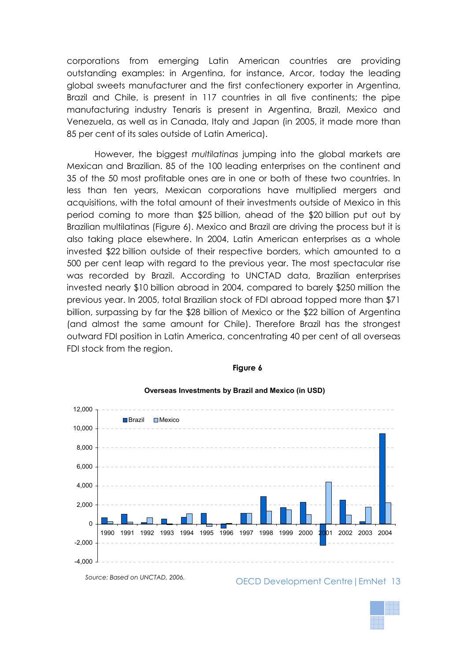corporations from emerging Latin American countries are providing outstanding examples: in Argentina, for instance, Arcor, today the leading global sweets manufacturer and the first confectionery exporter in Argentina, Brazil and Chile, is present in 117 countries in all five continents; the pipe manufacturing industry Tenaris is present in Argentina, Brazil, Mexico and Venezuela, as well as in Canada, Italy and Japan (in 2005, it made more than 85 per cent of its sales outside of Latin America).

However, the biggest *multilatinas* jumping into the global markets are Mexican and Brazilian. 85 of the 100 leading enterprises on the continent and 35 of the 50 most profitable ones are in one or both of these two countries. In less than ten years, Mexican corporations have multiplied mergers and acquisitions, with the total amount of their investments outside of Mexico in this period coming to more than \$25 billion, ahead of the \$20 billion put out by Brazilian multilatinas (Figure 6). Mexico and Brazil are driving the process but it is also taking place elsewhere. In 2004, Latin American enterprises as a whole invested \$22 billion outside of their respective borders, which amounted to a 500 per cent leap with regard to the previous year. The most spectacular rise was recorded by Brazil. According to UNCTAD data, Brazilian enterprises invested nearly \$10 billion abroad in 2004, compared to barely \$250 million the previous year. In 2005, total Brazilian stock of FDI abroad topped more than \$71 billion, surpassing by far the \$28 billion of Mexico or the \$22 billion of Argentina (and almost the same amount for Chile). Therefore Brazil has the strongest outward FDI position in Latin America, concentrating 40 per cent of all overseas FDI stock from the region.

#### **Figure 6**



#### **Overseas Investments by Brazil and Mexico (in USD)**

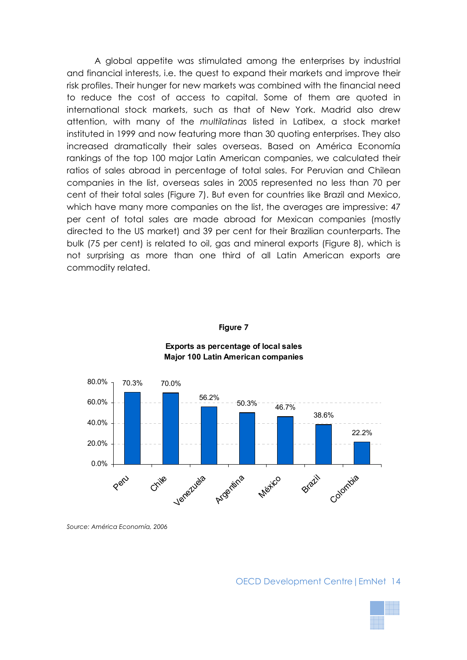A global appetite was stimulated among the enterprises by industrial and financial interests, i.e. the quest to expand their markets and improve their risk profiles. Their hunger for new markets was combined with the financial need to reduce the cost of access to capital. Some of them are quoted in international stock markets, such as that of New York. Madrid also drew attention, with many of the *multilatinas* listed in Latibex, a stock market instituted in 1999 and now featuring more than 30 quoting enterprises. They also increased dramatically their sales overseas. Based on América Economía rankings of the top 100 major Latin American companies, we calculated their ratios of sales abroad in percentage of total sales. For Peruvian and Chilean companies in the list, overseas sales in 2005 represented no less than 70 per cent of their total sales (Figure 7). But even for countries like Brazil and Mexico, which have many more companies on the list, the averages are impressive: 47 per cent of total sales are made abroad for Mexican companies (mostly directed to the US market) and 39 per cent for their Brazilian counterparts. The bulk (75 per cent) is related to oil, gas and mineral exports (Figure 8), which is not surprising as more than one third of all Latin American exports are commodity related.

#### **Figure 7**



#### **Exports as percentage of local sales Major 100 Latin American companies**

*Source: América Economía, 2006* 

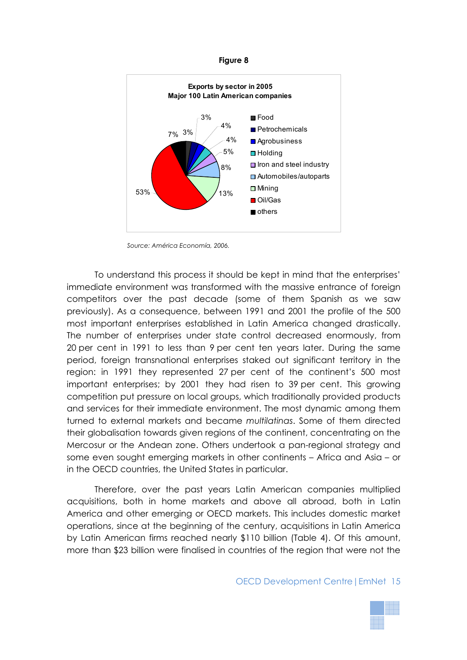#### **Figure 8**



*Source: América Economía, 2006.* 

To understand this process it should be kept in mind that the enterprises' immediate environment was transformed with the massive entrance of foreign competitors over the past decade (some of them Spanish as we saw previously). As a consequence, between 1991 and 2001 the profile of the 500 most important enterprises established in Latin America changed drastically. The number of enterprises under state control decreased enormously, from 20 per cent in 1991 to less than 9 per cent ten years later. During the same period, foreign transnational enterprises staked out significant territory in the region: in 1991 they represented 27 per cent of the continent's 500 most important enterprises; by 2001 they had risen to 39 per cent. This growing competition put pressure on local groups, which traditionally provided products and services for their immediate environment. The most dynamic among them turned to external markets and became *multilatinas*. Some of them directed their globalisation towards given regions of the continent, concentrating on the Mercosur or the Andean zone. Others undertook a pan-regional strategy and some even sought emerging markets in other continents – Africa and Asia – or in the OECD countries, the United States in particular.

Therefore, over the past years Latin American companies multiplied acquisitions, both in home markets and above all abroad, both in Latin America and other emerging or OECD markets. This includes domestic market operations, since at the beginning of the century, acquisitions in Latin America by Latin American firms reached nearly \$110 billion (Table 4). Of this amount, more than \$23 billion were finalised in countries of the region that were not the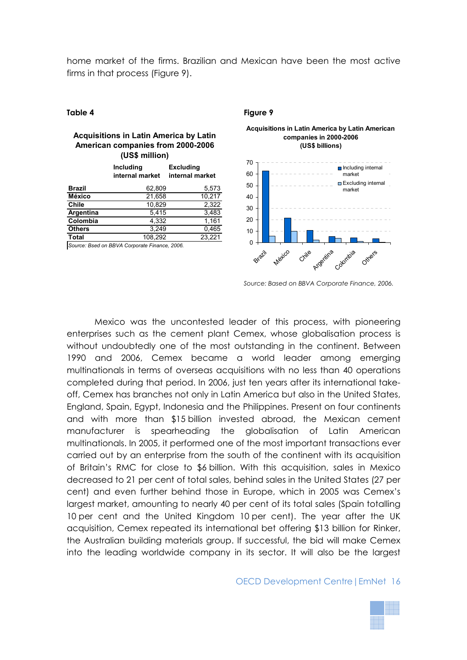home market of the firms. Brazilian and Mexican have been the most active firms in that process (Figure 9).

#### **Acquisitions in Latin America by Latin American companies from 2000-2006 (US\$ million)**

|               | <b>Including</b><br>internal market | <b>Excluding</b><br>internal market |
|---------------|-------------------------------------|-------------------------------------|
| <b>Brazil</b> | 62,809                              | 5,573                               |
| <b>México</b> | 21,658                              | 10,217                              |
| <b>Chile</b>  | 10,829                              | 2,322                               |
| Argentina     | 5,415                               | 3,483                               |
| Colombia      | 4,332                               | 1,161                               |
| <b>Others</b> | 3,249                               | 0,465                               |
| Total         | 108,292                             | 23,221                              |
|               |                                     |                                     |

*Source: Bsed on BBVA Corporate Finance, 2006.*

#### **Table 4 Figure 9**





*Source: Based on BBVA Corporate Finance, 2006.* 

Mexico was the uncontested leader of this process, with pioneering enterprises such as the cement plant Cemex, whose globalisation process is without undoubtedly one of the most outstanding in the continent. Between 1990 and 2006, Cemex became a world leader among emerging multinationals in terms of overseas acquisitions with no less than 40 operations completed during that period. In 2006, just ten years after its international takeoff, Cemex has branches not only in Latin America but also in the United States, England, Spain, Egypt, Indonesia and the Philippines. Present on four continents and with more than \$15 billion invested abroad, the Mexican cement manufacturer is spearheading the globalisation of Latin American multinationals. In 2005, it performed one of the most important transactions ever carried out by an enterprise from the south of the continent with its acquisition of Britain's RMC for close to \$6 billion. With this acquisition, sales in Mexico decreased to 21 per cent of total sales, behind sales in the United States (27 per cent) and even further behind those in Europe, which in 2005 was Cemex's largest market, amounting to nearly 40 per cent of its total sales (Spain totalling 10 per cent and the United Kingdom 10 per cent). The year after the UK acquisition, Cemex repeated its international bet offering \$13 billion for Rinker, the Australian building materials group. If successful, the bid will make Cemex into the leading worldwide company in its sector. It will also be the largest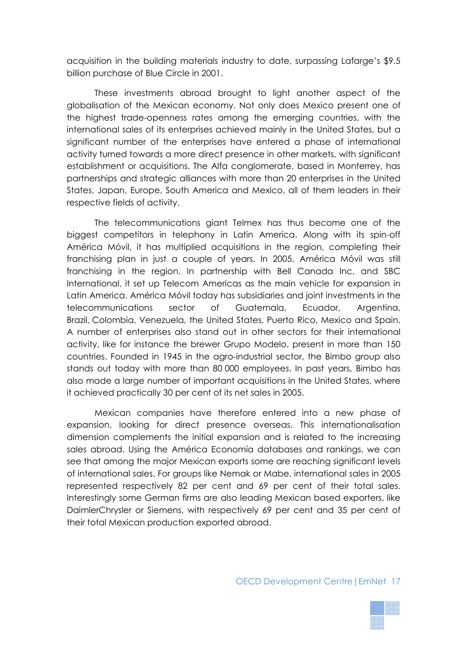acquisition in the building materials industry to date, surpassing Lafarge's \$9.5 billion purchase of Blue Circle in 2001.

These investments abroad brought to light another aspect of the globalisation of the Mexican economy. Not only does Mexico present one of the highest trade-openness rates among the emerging countries, with the international sales of its enterprises achieved mainly in the United States, but a significant number of the enterprises have entered a phase of international activity turned towards a more direct presence in other markets, with significant establishment or acquisitions. The Alfa conglomerate, based in Monterrey, has partnerships and strategic alliances with more than 20 enterprises in the United States, Japan, Europe, South America and Mexico, all of them leaders in their respective fields of activity.

The telecommunications giant Telmex has thus become one of the biggest competitors in telephony in Latin America. Along with its spin-off América Móvil, it has multiplied acquisitions in the region, completing their franchising plan in just a couple of years. In 2005, América Móvil was still franchising in the region. In partnership with Bell Canada Inc. and SBC International, it set up Telecom Americas as the main vehicle for expansion in Latin America. América Móvil today has subsidiaries and joint investments in the telecommunications sector of Guatemala, Ecuador, Argentina, Brazil, Colombia, Venezuela, the United States, Puerto Rico, Mexico and Spain. A number of enterprises also stand out in other sectors for their international activity, like for instance the brewer Grupo Modelo, present in more than 150 countries. Founded in 1945 in the agro-industrial sector, the Bimbo group also stands out today with more than 80 000 employees. In past years, Bimbo has also made a large number of important acquisitions in the United States, where it achieved practically 30 per cent of its net sales in 2005.

Mexican companies have therefore entered into a new phase of expansion, looking for direct presence overseas. This internationalisation dimension complements the initial expansion and is related to the increasing sales abroad. Using the América Economía databases and rankings, we can see that among the major Mexican exports some are reaching significant levels of international sales. For groups like Nemak or Mabe, international sales in 2005 represented respectively 82 per cent and 69 per cent of their total sales. Interestingly some German firms are also leading Mexican based exporters, like DaimlerChrysler or Siemens, with respectively 69 per cent and 35 per cent of their total Mexican production exported abroad.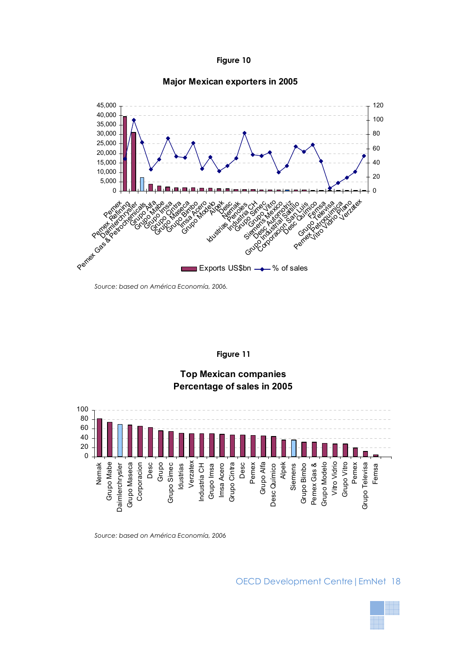



#### **Major Mexican exporters in 2005**

*Source: based on América Economía, 2006.* 

#### **Figure 11**





*Source: based on América Economía, 2006* 

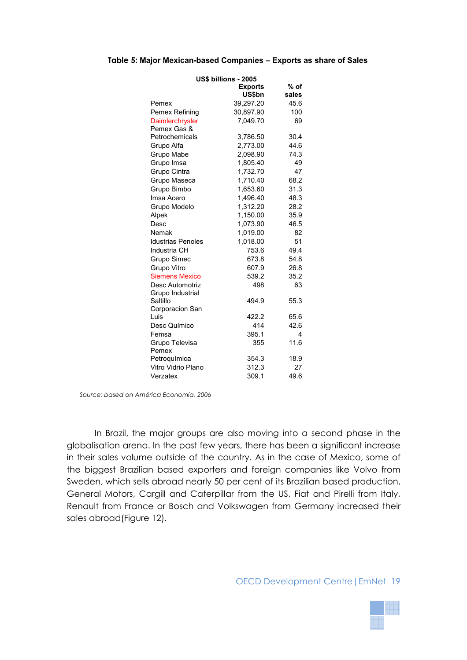#### **Table 5: Major Mexican-based Companies – Exports as share of Sales**

| US\$ billions - 2005     |                |       |  |  |  |  |
|--------------------------|----------------|-------|--|--|--|--|
|                          | <b>Exports</b> | % of  |  |  |  |  |
|                          | US\$bn         | sales |  |  |  |  |
| Pemex                    | 39,297.20      | 45.6  |  |  |  |  |
| Pemex Refining           | 30,897.90      | 100   |  |  |  |  |
| Daimlerchrysler          | 7,049.70       | 69    |  |  |  |  |
| Pemex Gas &              |                |       |  |  |  |  |
| Petrochemicals           | 3,786.50       | 30.4  |  |  |  |  |
| Grupo Alfa               | 2,773.00       | 44.6  |  |  |  |  |
| Grupo Mabe               | 2,098.90       | 74.3  |  |  |  |  |
| Grupo Imsa               | 1,805.40       | 49    |  |  |  |  |
| Grupo Cintra             | 1,732.70       | 47    |  |  |  |  |
| Grupo Maseca             | 1,710.40       | 68.2  |  |  |  |  |
| Grupo Bimbo              | 1,653.60       | 31.3  |  |  |  |  |
| Imsa Acero               | 1,496.40       | 48.3  |  |  |  |  |
| Grupo Modelo             | 1,312.20       | 28.2  |  |  |  |  |
| Alpek                    | 1,150.00       | 35.9  |  |  |  |  |
| Desc                     | 1,073.90       | 46.5  |  |  |  |  |
| Nemak                    | 1,019.00       | 82    |  |  |  |  |
| <b>Idustrias Penoles</b> | 1,018.00       | 51    |  |  |  |  |
| Industria CH             | 753.6          | 49.4  |  |  |  |  |
| Grupo Simec              | 673.8          | 54.8  |  |  |  |  |
| Grupo Vitro              | 607.9          | 26.8  |  |  |  |  |
| <b>Siemens Mexico</b>    | 539.2          | 35.2  |  |  |  |  |
| Desc Automotriz          | 498            | 63    |  |  |  |  |
| Grupo Industrial         |                |       |  |  |  |  |
| Saltillo                 | 494.9          | 55.3  |  |  |  |  |
| Corporacion San          |                |       |  |  |  |  |
| Luis                     | 422.2          | 65.6  |  |  |  |  |
| Desc Químico             | 414            | 42.6  |  |  |  |  |
| Femsa                    | 395.1          | 4     |  |  |  |  |
| Grupo Televisa           | 355            | 11.6  |  |  |  |  |
| Pemex                    |                |       |  |  |  |  |
| Petroquímica             | 354.3          | 18.9  |  |  |  |  |
| Vitro Vidrio Plano       | 312.3          | 27    |  |  |  |  |
| Verzatex                 | 309.1          | 49.6  |  |  |  |  |

*Source: based on América Economía, 2006* 

In Brazil, the major groups are also moving into a second phase in the globalisation arena. In the past few years, there has been a significant increase in their sales volume outside of the country. As in the case of Mexico, some of the biggest Brazilian based exporters and foreign companies like Volvo from Sweden, which sells abroad nearly 50 per cent of its Brazilian based production, General Motors, Cargill and Caterpillar from the US, Fiat and Pirelli from Italy, Renault from France or Bosch and Volkswagen from Germany increased their sales abroad(Figure 12).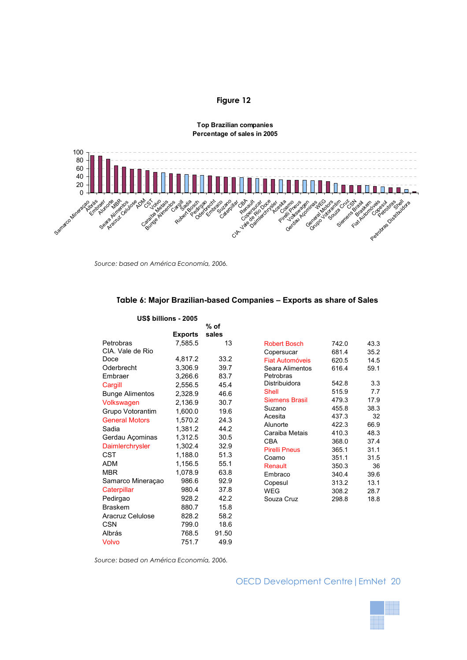#### **Figure 12**



**Top Brazilian companies Percentage of sales in 2005**

*Source: based on América Economía, 2006.* 

|                        | US\$ billions - 2005 |        |                                    |                |              |
|------------------------|----------------------|--------|------------------------------------|----------------|--------------|
|                        |                      | $%$ of |                                    |                |              |
|                        | <b>Exports</b>       | sales  |                                    |                |              |
| Petrobras              | 7.585.5              | 13     | <b>Robert Bosch</b>                | 742.0          | 43.3         |
| CIA. Vale de Rio       |                      |        | Copersucar                         | 681.4          | 35.2         |
| Doce                   | 4,817.2              | 33.2   | <b>Fiat Automóveis</b>             | 620.5          | 14.5         |
| Oderbrecht             | 3,306.9              | 39.7   | Seara Alimentos                    | 616.4          | 59.1         |
| Embraer                | 3,266.6              | 83.7   | Petrobras                          |                |              |
| Cargill                | 2,556.5              | 45.4   | Distribuidora                      | 542.8          | 3.3          |
| <b>Bunge Alimentos</b> | 2.328.9              | 46.6   | Shell                              | 515.9          | 7.7          |
| Volkswagen             | 2,136.9              | 30.7   | <b>Siemens Brasil</b>              | 479.3          | 17.9         |
| Grupo Votorantim       | 1.600.0              | 19.6   | Suzano                             | 455.8          | 38.3         |
| <b>General Motors</b>  | 1.570.2              | 24.3   | Acesita                            | 437.3          | 32           |
| Sadia                  | 1,381.2              | 44.2   | Alunorte                           | 422.3          | 66.9         |
| Gerdau Açominas        | 1,312.5              | 30.5   | Caraiba Metais                     | 410.3          | 48.3         |
| Daimlerchrysler        | 1.302.4              | 32.9   | <b>CBA</b><br><b>Pirelli Pneus</b> | 368.0<br>365.1 | 37.4<br>31.1 |
| <b>CST</b>             | 1.188.0              | 51.3   | Coamo                              | 351.1          | 31.5         |
| <b>ADM</b>             | 1,156.5              | 55.1   | Renault                            | 350.3          | 36           |
| <b>MBR</b>             | 1,078.9              | 63.8   | Embraco                            | 340.4          | 39.6         |
| Samarco Mineraçao      | 986.6                | 92.9   | Copesul                            | 313.2          | 13.1         |
| Caterpillar            | 980.4                | 37.8   | <b>WEG</b>                         | 308.2          | 28.7         |
| Pedirgao               | 928.2                | 42.2   | Souza Cruz                         | 298.8          | 18.8         |
| <b>Braskem</b>         | 880.7                | 15.8   |                                    |                |              |
| Aracruz Celulose       | 828.2                | 58.2   |                                    |                |              |
| <b>CSN</b>             | 799.0                | 18.6   |                                    |                |              |
| Albrás                 | 768.5                | 91.50  |                                    |                |              |
| Volvo                  | 751.7                | 49.9   |                                    |                |              |

#### **Table 6: Major Brazilian-based Companies – Exports as share of Sales**

*Source: based on América Economía, 2006.* 

#### OECD Development Centre|EmNet 20

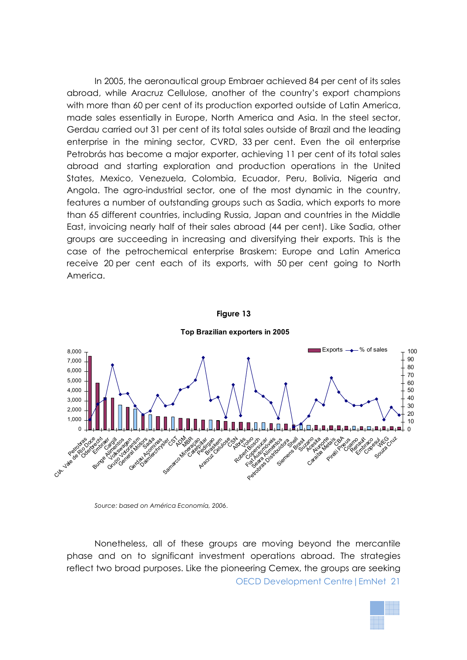In 2005, the aeronautical group Embraer achieved 84 per cent of its sales abroad, while Aracruz Cellulose, another of the country's export champions with more than 60 per cent of its production exported outside of Latin America, made sales essentially in Europe, North America and Asia. In the steel sector, Gerdau carried out 31 per cent of its total sales outside of Brazil and the leading enterprise in the mining sector, CVRD, 33 per cent. Even the oil enterprise Petrobrás has become a major exporter, achieving 11 per cent of its total sales abroad and starting exploration and production operations in the United States, Mexico, Venezuela, Colombia, Ecuador, Peru, Bolivia, Nigeria and Angola. The agro-industrial sector, one of the most dynamic in the country, features a number of outstanding groups such as Sadia, which exports to more than 65 different countries, including Russia, Japan and countries in the Middle East, invoicing nearly half of their sales abroad (44 per cent). Like Sadia, other groups are succeeding in increasing and diversifying their exports. This is the case of the petrochemical enterprise Braskem: Europe and Latin America receive 20 per cent each of its exports, with 50 per cent going to North America.



*Source: based on América Economía, 2006*.

Nonetheless, all of these groups are moving beyond the mercantile phase and on to significant investment operations abroad. The strategies reflect two broad purposes. Like the pioneering Cemex, the groups are seeking OECD Development Centre|EmNet 21

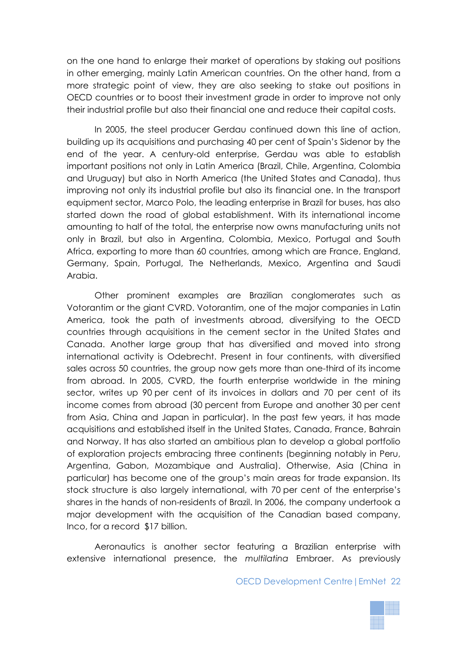on the one hand to enlarge their market of operations by staking out positions in other emerging, mainly Latin American countries. On the other hand, from a more strategic point of view, they are also seeking to stake out positions in OECD countries or to boost their investment grade in order to improve not only their industrial profile but also their financial one and reduce their capital costs.

In 2005, the steel producer Gerdau continued down this line of action, building up its acquisitions and purchasing 40 per cent of Spain's Sidenor by the end of the year. A century-old enterprise, Gerdau was able to establish important positions not only in Latin America (Brazil, Chile, Argentina, Colombia and Uruguay) but also in North America (the United States and Canada), thus improving not only its industrial profile but also its financial one. In the transport equipment sector, Marco Polo, the leading enterprise in Brazil for buses, has also started down the road of global establishment. With its international income amounting to half of the total, the enterprise now owns manufacturing units not only in Brazil, but also in Argentina, Colombia, Mexico, Portugal and South Africa, exporting to more than 60 countries, among which are France, England, Germany, Spain, Portugal, The Netherlands, Mexico, Argentina and Saudi Arabia.

Other prominent examples are Brazilian conglomerates such as Votorantim or the giant CVRD. Votorantim, one of the major companies in Latin America, took the path of investments abroad, diversifying to the OECD countries through acquisitions in the cement sector in the United States and Canada. Another large group that has diversified and moved into strong international activity is Odebrecht. Present in four continents, with diversified sales across 50 countries, the group now gets more than one-third of its income from abroad. In 2005, CVRD, the fourth enterprise worldwide in the mining sector, writes up 90 per cent of its invoices in dollars and 70 per cent of its income comes from abroad (30 percent from Europe and another 30 per cent from Asia, China and Japan in particular). In the past few years, it has made acquisitions and established itself in the United States, Canada, France, Bahrain and Norway. It has also started an ambitious plan to develop a global portfolio of exploration projects embracing three continents (beginning notably in Peru, Argentina, Gabon, Mozambique and Australia). Otherwise, Asia (China in particular) has become one of the group's main areas for trade expansion. Its stock structure is also largely international, with 70 per cent of the enterprise's shares in the hands of non-residents of Brazil. In 2006, the company undertook a major development with the acquisition of the Canadian based company, Inco, for a record \$17 billion.

Aeronautics is another sector featuring a Brazilian enterprise with extensive international presence, the *multilatina* Embraer. As previously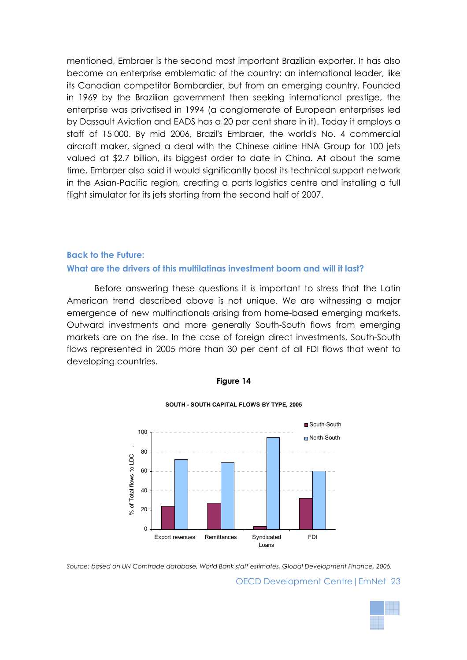mentioned, Embraer is the second most important Brazilian exporter. It has also become an enterprise emblematic of the country: an international leader, like its Canadian competitor Bombardier, but from an emerging country. Founded in 1969 by the Brazilian government then seeking international prestige, the enterprise was privatised in 1994 (a conglomerate of European enterprises led by Dassault Aviation and EADS has a 20 per cent share in it). Today it employs a staff of 15 000. By mid 2006, Brazil's Embraer, the world's No. 4 commercial aircraft maker, signed a deal with the Chinese airline HNA Group for 100 jets valued at \$2.7 billion, its biggest order to date in China. At about the same time, Embraer also said it would significantly boost its technical support network in the Asian-Pacific region, creating a parts logistics centre and installing a full flight simulator for its jets starting from the second half of 2007.

#### **Back to the Future:**

### **What are the drivers of this multilatinas investment boom and will it last?**

Before answering these questions it is important to stress that the Latin American trend described above is not unique. We are witnessing a major emergence of new multinationals arising from home-based emerging markets. Outward investments and more generally South-South flows from emerging markets are on the rise. In the case of foreign direct investments, South-South flows represented in 2005 more than 30 per cent of all FDI flows that went to developing countries.



# **Figure 14**



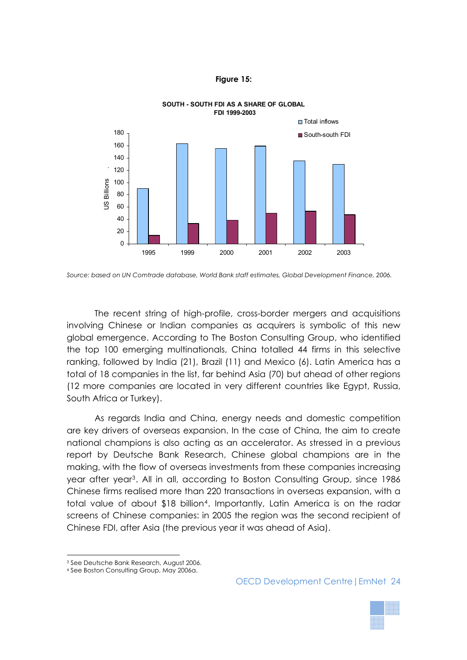





The recent string of high-profile, cross-border mergers and acquisitions involving Chinese or Indian companies as acquirers is symbolic of this new global emergence. According to The Boston Consulting Group, who identified the top 100 emerging multinationals, China totalled 44 firms in this selective ranking, followed by India (21), Brazil (11) and Mexico (6). Latin America has a total of 18 companies in the list, far behind Asia (70) but ahead of other regions (12 more companies are located in very different countries like Egypt, Russia, South Africa or Turkey).

As regards India and China, energy needs and domestic competition are key drivers of overseas expansion. In the case of China, the aim to create national champions is also acting as an accelerator. As stressed in a previous report by Deutsche Bank Research, Chinese global champions are in the making, with the flow of overseas investments from these companies increasing year after year<sup>[3](#page-23-0)</sup>. All in all, according to Boston Consulting Group, since 1986 Chinese firms realised more than 220 transactions in overseas expansion, with a total value of about \$18 billion<sup>[4](#page-23-1)</sup>. Importantly, Latin America is on the radar screens of Chinese companies: in 2005 the region was the second recipient of Chinese FDI, after Asia (the previous year it was ahead of Asia).

 $\overline{a}$ 



*Source: based on UN Comtrade database, World Bank staff estimates, Global Development Finance, 2006.* 

<span id="page-23-0"></span><sup>3</sup> See Deutsche Bank Research, August 2006.

<span id="page-23-1"></span><sup>4</sup> See Boston Consulting Group, May 2006a.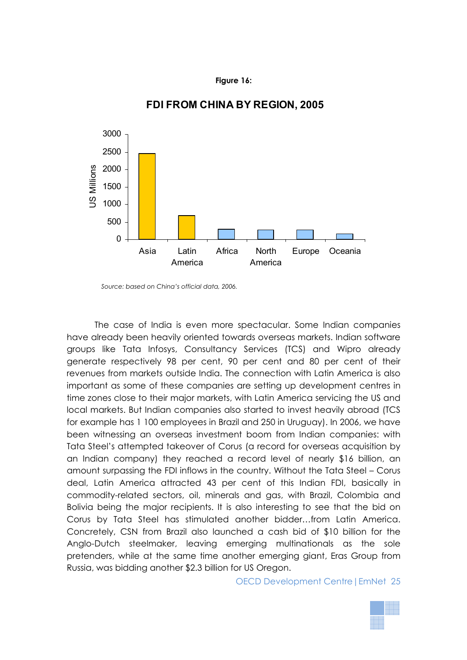#### **Figure 16:**



# **FDI FROM CHINA BY REGION, 2005**

*Source: based on China's official data, 2006.* 

The case of India is even more spectacular. Some Indian companies have already been heavily oriented towards overseas markets. Indian software groups like Tata Infosys, Consultancy Services (TCS) and Wipro already generate respectively 98 per cent, 90 per cent and 80 per cent of their revenues from markets outside India. The connection with Latin America is also important as some of these companies are setting up development centres in time zones close to their major markets, with Latin America servicing the US and local markets. But Indian companies also started to invest heavily abroad (TCS for example has 1 100 employees in Brazil and 250 in Uruguay). In 2006, we have been witnessing an overseas investment boom from Indian companies: with Tata Steel's attempted takeover of Corus (a record for overseas acquisition by an Indian company) they reached a record level of nearly \$16 billion, an amount surpassing the FDI inflows in the country. Without the Tata Steel – Corus deal, Latin America attracted 43 per cent of this Indian FDI, basically in commodity-related sectors, oil, minerals and gas, with Brazil, Colombia and Bolivia being the major recipients. It is also interesting to see that the bid on Corus by Tata Steel has stimulated another bidder…from Latin America. Concretely, CSN from Brazil also launched a cash bid of \$10 billion for the Anglo-Dutch steelmaker, leaving emerging multinationals as the sole pretenders, while at the same time another emerging giant, Eras Group from Russia, was bidding another \$2.3 billion for US Oregon.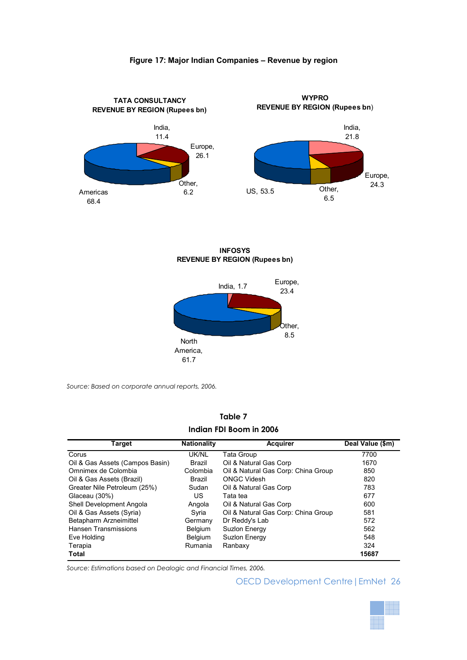#### **Figure 17: Major Indian Companies – Revenue by region**



**INFOSYS REVENUE BY REGION (Rupees bn)**



*Source: Based on corporate annual reports, 2006.* 

| Table 7                 |  |  |  |  |  |
|-------------------------|--|--|--|--|--|
| Indian FDI Boom in 2006 |  |  |  |  |  |

| <b>Target</b>                   | <b>Nationality</b> | Acquirer                            | Deal Value (\$m) |
|---------------------------------|--------------------|-------------------------------------|------------------|
| Corus                           | UK/NL              | <b>Tata Group</b>                   | 7700             |
| Oil & Gas Assets (Campos Basin) | Brazil             | Oil & Natural Gas Corp              | 1670             |
| Omnimex de Colombia             | Colombia           | Oil & Natural Gas Corp: China Group | 850              |
| Oil & Gas Assets (Brazil)       | Brazil             | <b>ONGC Videsh</b>                  | 820              |
| Greater Nile Petroleum (25%)    | Sudan              | Oil & Natural Gas Corp              | 783              |
| Glaceau (30%)                   | US.                | Tata tea                            | 677              |
| Shell Development Angola        | Angola             | Oil & Natural Gas Corp              | 600              |
| Oil & Gas Assets (Syria)        | Syria              | Oil & Natural Gas Corp: China Group | 581              |
| Betapharm Arzneimittel          | Germany            | Dr Reddy's Lab                      | 572              |
| Hansen Transmissions            | <b>Belgium</b>     | Suzion Energy                       | 562              |
| Eve Holding                     | <b>Belgium</b>     | Suzion Energy                       | 548              |
| Terapia                         | Rumania            | Ranbaxy                             | 324              |
| <b>Total</b>                    |                    |                                     | 15687            |

*Source: Estimations based on Dealogic and Financial Times, 2006.* 

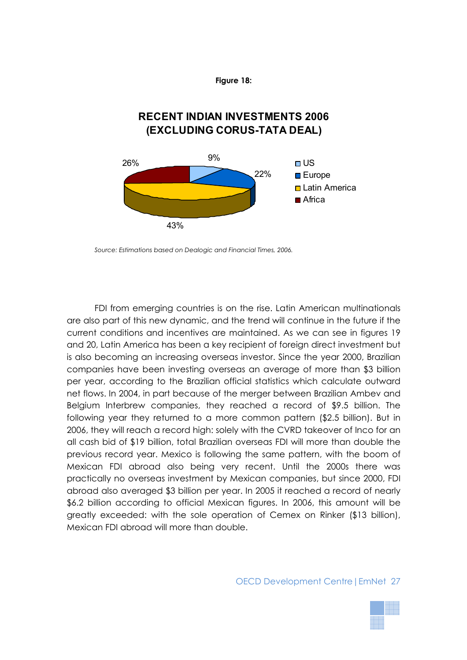

# **RECENT INDIAN INVESTMENTS 2006 (EXCLUDING CORUS-TATA DEAL)**



*Source: Estimations based on Dealogic and Financial Times, 2006.* 

FDI from emerging countries is on the rise. Latin American multinationals are also part of this new dynamic, and the trend will continue in the future if the current conditions and incentives are maintained. As we can see in figures 19 and 20, Latin America has been a key recipient of foreign direct investment but is also becoming an increasing overseas investor. Since the year 2000, Brazilian companies have been investing overseas an average of more than \$3 billion per year, according to the Brazilian official statistics which calculate outward net flows. In 2004, in part because of the merger between Brazilian Ambev and Belgium Interbrew companies, they reached a record of \$9.5 billion. The following year they returned to a more common pattern (\$2.5 billion). But in 2006, they will reach a record high: solely with the CVRD takeover of Inco for an all cash bid of \$19 billion, total Brazilian overseas FDI will more than double the previous record year. Mexico is following the same pattern, with the boom of Mexican FDI abroad also being very recent. Until the 2000s there was practically no overseas investment by Mexican companies, but since 2000, FDI abroad also averaged \$3 billion per year. In 2005 it reached a record of nearly \$6.2 billion according to official Mexican figures. In 2006, this amount will be greatly exceeded: with the sole operation of Cemex on Rinker (\$13 billion), Mexican FDI abroad will more than double.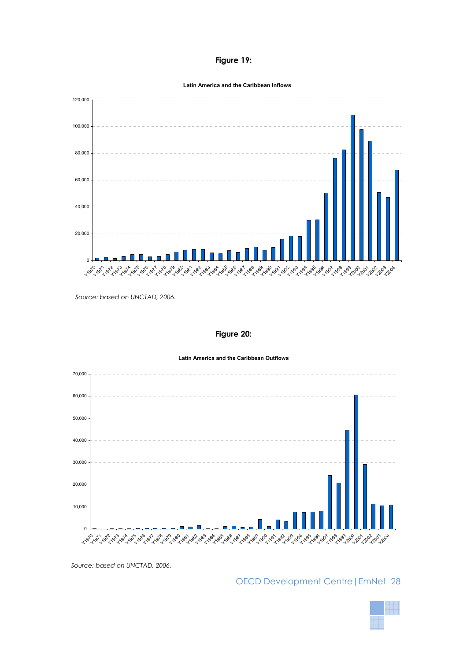#### **Figure 19:**

**Latin America and the Caribbean Inflows**



*Source: based on UNCTAD, 2006.* 

#### **Figure 20:**

**Latin America and the Caribbean Outflows**



*Source: based on UNCTAD, 2006.*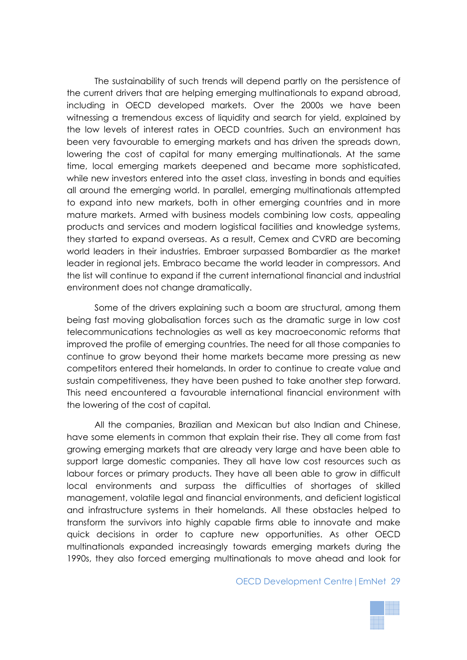The sustainability of such trends will depend partly on the persistence of the current drivers that are helping emerging multinationals to expand abroad, including in OECD developed markets. Over the 2000s we have been witnessing a tremendous excess of liquidity and search for yield, explained by the low levels of interest rates in OECD countries. Such an environment has been very favourable to emerging markets and has driven the spreads down, lowering the cost of capital for many emerging multinationals. At the same time, local emerging markets deepened and became more sophisticated, while new investors entered into the asset class, investing in bonds and equities all around the emerging world. In parallel, emerging multinationals attempted to expand into new markets, both in other emerging countries and in more mature markets. Armed with business models combining low costs, appealing products and services and modern logistical facilities and knowledge systems, they started to expand overseas. As a result, Cemex and CVRD are becoming world leaders in their industries. Embraer surpassed Bombardier as the market leader in regional jets. Embraco became the world leader in compressors. And the list will continue to expand if the current international financial and industrial environment does not change dramatically.

Some of the drivers explaining such a boom are structural, among them being fast moving globalisation forces such as the dramatic surge in low cost telecommunications technologies as well as key macroeconomic reforms that improved the profile of emerging countries. The need for all those companies to continue to grow beyond their home markets became more pressing as new competitors entered their homelands. In order to continue to create value and sustain competitiveness, they have been pushed to take another step forward. This need encountered a favourable international financial environment with the lowering of the cost of capital.

All the companies, Brazilian and Mexican but also Indian and Chinese, have some elements in common that explain their rise. They all come from fast growing emerging markets that are already very large and have been able to support large domestic companies. They all have low cost resources such as labour forces or primary products. They have all been able to grow in difficult local environments and surpass the difficulties of shortages of skilled management, volatile legal and financial environments, and deficient logistical and infrastructure systems in their homelands. All these obstacles helped to transform the survivors into highly capable firms able to innovate and make quick decisions in order to capture new opportunities. As other OECD multinationals expanded increasingly towards emerging markets during the 1990s, they also forced emerging multinationals to move ahead and look for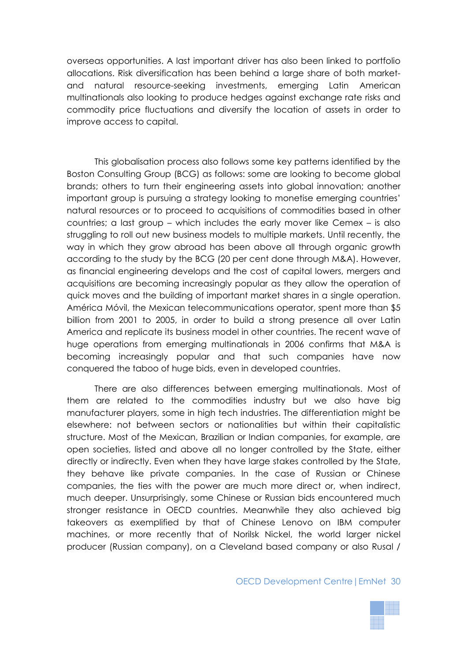overseas opportunities. A last important driver has also been linked to portfolio allocations. Risk diversification has been behind a large share of both marketand natural resource-seeking investments, emerging Latin American multinationals also looking to produce hedges against exchange rate risks and commodity price fluctuations and diversify the location of assets in order to improve access to capital.

This globalisation process also follows some key patterns identified by the Boston Consulting Group (BCG) as follows: some are looking to become global brands; others to turn their engineering assets into global innovation; another important group is pursuing a strategy looking to monetise emerging countries' natural resources or to proceed to acquisitions of commodities based in other countries; a last group – which includes the early mover like Cemex – is also struggling to roll out new business models to multiple markets. Until recently, the way in which they grow abroad has been above all through organic growth according to the study by the BCG (20 per cent done through M&A). However, as financial engineering develops and the cost of capital lowers, mergers and acquisitions are becoming increasingly popular as they allow the operation of quick moves and the building of important market shares in a single operation. América Móvil, the Mexican telecommunications operator, spent more than \$5 billion from 2001 to 2005, in order to build a strong presence all over Latin America and replicate its business model in other countries. The recent wave of huge operations from emerging multinationals in 2006 confirms that M&A is becoming increasingly popular and that such companies have now conquered the taboo of huge bids, even in developed countries.

There are also differences between emerging multinationals. Most of them are related to the commodities industry but we also have big manufacturer players, some in high tech industries. The differentiation might be elsewhere: not between sectors or nationalities but within their capitalistic structure. Most of the Mexican, Brazilian or Indian companies, for example, are open societies, listed and above all no longer controlled by the State, either directly or indirectly. Even when they have large stakes controlled by the State, they behave like private companies. In the case of Russian or Chinese companies, the ties with the power are much more direct or, when indirect, much deeper. Unsurprisingly, some Chinese or Russian bids encountered much stronger resistance in OECD countries. Meanwhile they also achieved big takeovers as exemplified by that of Chinese Lenovo on IBM computer machines, or more recently that of Norilsk Nickel, the world larger nickel producer (Russian company), on a Cleveland based company or also Rusal /

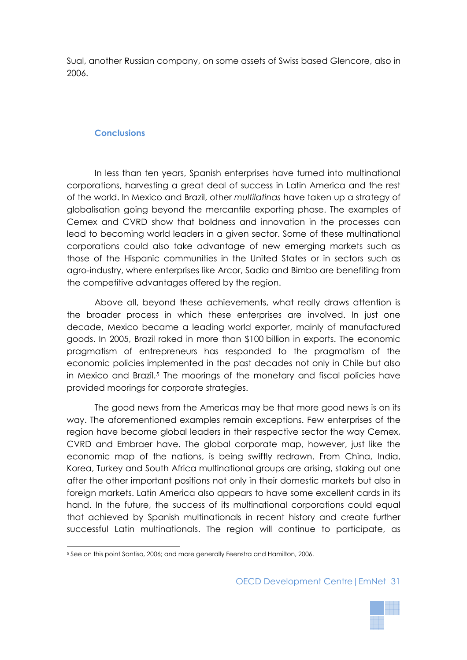Sual, another Russian company, on some assets of Swiss based Glencore, also in 2006.

# **Conclusions**

In less than ten years, Spanish enterprises have turned into multinational corporations, harvesting a great deal of success in Latin America and the rest of the world. In Mexico and Brazil, other *multilatinas* have taken up a strategy of globalisation going beyond the mercantile exporting phase. The examples of Cemex and CVRD show that boldness and innovation in the processes can lead to becoming world leaders in a given sector. Some of these multinational corporations could also take advantage of new emerging markets such as those of the Hispanic communities in the United States or in sectors such as agro-industry, where enterprises like Arcor, Sadia and Bimbo are benefiting from the competitive advantages offered by the region.

Above all, beyond these achievements, what really draws attention is the broader process in which these enterprises are involved. In just one decade, Mexico became a leading world exporter, mainly of manufactured goods. In 2005, Brazil raked in more than \$100 billion in exports. The economic pragmatism of entrepreneurs has responded to the pragmatism of the economic policies implemented in the past decades not only in Chile but also in Mexico and Brazil.<sup>[5](#page-30-0)</sup> The moorings of the monetary and fiscal policies have provided moorings for corporate strategies.

The good news from the Americas may be that more good news is on its way. The aforementioned examples remain exceptions. Few enterprises of the region have become global leaders in their respective sector the way Cemex, CVRD and Embraer have. The global corporate map, however, just like the economic map of the nations, is being swiftly redrawn. From China, India, Korea, Turkey and South Africa multinational groups are arising, staking out one after the other important positions not only in their domestic markets but also in foreign markets. Latin America also appears to have some excellent cards in its hand. In the future, the success of its multinational corporations could equal that achieved by Spanish multinationals in recent history and create further successful Latin multinationals. The region will continue to participate, as

 $\overline{a}$ 

<span id="page-30-0"></span><sup>5</sup> See on this point Santiso, 2006; and more generally Feenstra and Hamilton, 2006.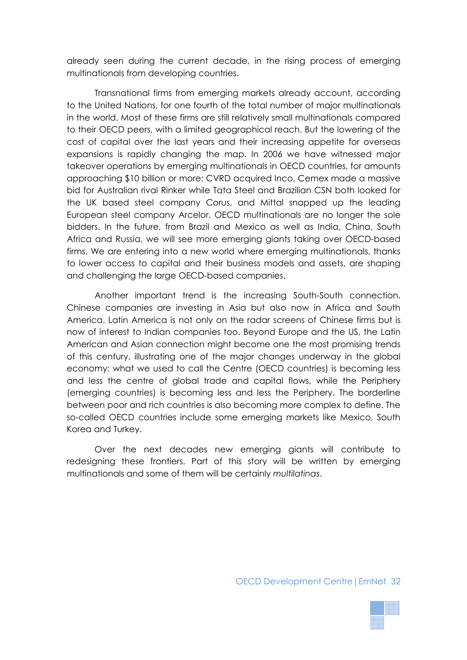already seen during the current decade, in the rising process of emerging multinationals from developing countries.

Transnational firms from emerging markets already account, according to the United Nations, for one fourth of the total number of major multinationals in the world. Most of these firms are still relatively small multinationals compared to their OECD peers, with a limited geographical reach. But the lowering of the cost of capital over the last years and their increasing appetite for overseas expansions is rapidly changing the map. In 2006 we have witnessed major takeover operations by emerging multinationals in OECD countries, for amounts approaching \$10 billion or more: CVRD acquired Inco, Cemex made a massive bid for Australian rival Rinker while Tata Steel and Brazilian CSN both looked for the UK based steel company Corus, and Mittal snapped up the leading European steel company Arcelor. OECD multinationals are no longer the sole bidders. In the future, from Brazil and Mexico as well as India, China, South Africa and Russia, we will see more emerging giants taking over OECD-based firms. We are entering into a new world where emerging multinationals, thanks to lower access to capital and their business models and assets, are shaping and challenging the large OECD-based companies.

Another important trend is the increasing South-South connection. Chinese companies are investing in Asia but also now in Africa and South America. Latin America is not only on the radar screens of Chinese firms but is now of interest to Indian companies too. Beyond Europe and the US, the Latin American and Asian connection might become one the most promising trends of this century, illustrating one of the major changes underway in the global economy: what we used to call the Centre (OECD countries) is becoming less and less the centre of global trade and capital flows, while the Periphery (emerging countries) is becoming less and less the Periphery. The borderline between poor and rich countries is also becoming more complex to define. The so-called OECD countries include some emerging markets like Mexico, South Korea and Turkey.

Over the next decades new emerging giants will contribute to redesigning these frontiers. Part of this story will be written by emerging multinationals and some of them will be certainly *multilatinas*.